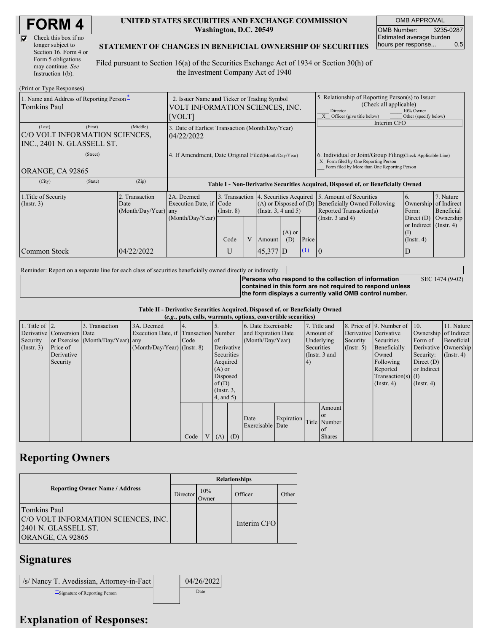| <b>FORM4</b> |  |
|--------------|--|
|--------------|--|

 $\overline{\nabla}$ 

| Check this box if no  |
|-----------------------|
| longer subject to     |
| Section 16. Form 4 or |
| Form 5 obligations    |
| may continue. See     |
| Instruction $1(b)$ .  |

#### **UNITED STATES SECURITIES AND EXCHANGE COMMISSION Washington, D.C. 20549**

OMB APPROVAL OMB Number: 3235-0287 Estimated average burden hours per response... 0.5

SEC 1474 (9-02)

#### **STATEMENT OF CHANGES IN BENEFICIAL OWNERSHIP OF SECURITIES**

Filed pursuant to Section 16(a) of the Securities Exchange Act of 1934 or Section 30(h) of the Investment Company Act of 1940

| (Print or Type Responses)                                                         |                                                                                          |                                                                                  |                                                        |   |          |                                                                                    |                                                                                                                                                                             |                       |                                                                   |           |
|-----------------------------------------------------------------------------------|------------------------------------------------------------------------------------------|----------------------------------------------------------------------------------|--------------------------------------------------------|---|----------|------------------------------------------------------------------------------------|-----------------------------------------------------------------------------------------------------------------------------------------------------------------------------|-----------------------|-------------------------------------------------------------------|-----------|
| 1. Name and Address of Reporting Person-<br>Tomkins Paul                          | 2. Issuer Name and Ticker or Trading Symbol<br>VOLT INFORMATION SCIENCES, INC.<br>[VOLT] |                                                                                  |                                                        |   |          |                                                                                    | 5. Relationship of Reporting Person(s) to Issuer<br>(Check all applicable)<br>10% Owner<br>Director<br>Other (specify below)<br>X Officer (give title below)<br>Interim CFO |                       |                                                                   |           |
| (First)<br>(Last)<br>C/O VOLT INFORMATION SCIENCES,<br>INC., 2401 N. GLASSELL ST. | 3. Date of Earliest Transaction (Month/Day/Year)<br>04/22/2022                           |                                                                                  |                                                        |   |          |                                                                                    |                                                                                                                                                                             |                       |                                                                   |           |
| (Street)<br>ORANGE, CA 92865                                                      | 4. If Amendment, Date Original Filed(Month/Day/Year)                                     |                                                                                  |                                                        |   |          |                                                                                    | 6. Individual or Joint/Group Filing Check Applicable Line)<br>X Form filed by One Reporting Person<br>Form filed by More than One Reporting Person                          |                       |                                                                   |           |
| (State)<br>(City)                                                                 | (Zip)                                                                                    | Table I - Non-Derivative Securities Acquired, Disposed of, or Beneficially Owned |                                                        |   |          |                                                                                    |                                                                                                                                                                             |                       |                                                                   |           |
| 1. Title of Security<br>$($ Instr. 3 $)$                                          | 2A. Deemed<br>Execution Date, if Code<br>(Month/Day/Year) any                            | 3. Transaction 4. Securities Acquired<br>$($ Instr. $8)$                         | $(A)$ or Disposed of $(D)$<br>(Instr. $3, 4$ and $5$ ) |   |          | 5. Amount of Securities<br>Beneficially Owned Following<br>Reported Transaction(s) | 7. Nature<br>6.<br>Ownership of Indirect<br>Form:                                                                                                                           | Beneficial            |                                                                   |           |
|                                                                                   |                                                                                          | (Month/Day/Year)                                                                 | Code                                                   | V | Amount   | $(A)$ or<br>(D)                                                                    | Price                                                                                                                                                                       | (Instr. $3$ and $4$ ) | Direct $(D)$<br>or Indirect (Instr. 4)<br>(I)<br>$($ Instr. 4 $)$ | Ownership |
| Common Stock                                                                      | 04/22/2022                                                                               |                                                                                  | U                                                      |   | 45,377 D |                                                                                    | $\Omega$                                                                                                                                                                    | 10                    | D                                                                 |           |

Reminder: Report on a separate line for each class of securities beneficially owned directly or indirectly.

**Persons who respond to the collection of information contained in this form are not required to respond unless the form displays a currently valid OMB control number.**

**Table II - Derivative Securities Acquired, Disposed of, or Beneficially Owned**

|                        | (e.g., puts, calls, warrants, options, convertible securities) |                                  |                                       |      |                |                 |          |                     |            |               |               |                      |                              |              |                       |
|------------------------|----------------------------------------------------------------|----------------------------------|---------------------------------------|------|----------------|-----------------|----------|---------------------|------------|---------------|---------------|----------------------|------------------------------|--------------|-----------------------|
| 1. Title of $\vert$ 2. |                                                                | 3. Transaction                   | 3A. Deemed                            |      |                |                 |          | 6. Date Exercisable |            |               | 7. Title and  |                      | 8. Price of 9. Number of 10. |              | 11. Nature            |
|                        | Derivative Conversion Date                                     |                                  | Execution Date, if Transaction Number |      |                |                 |          | and Expiration Date |            | Amount of     |               |                      | Derivative Derivative        |              | Ownership of Indirect |
| Security               |                                                                | or Exercise (Month/Day/Year) any |                                       | Code |                | of              |          | (Month/Day/Year)    |            | Underlying    |               | Security             | Securities                   | Form of      | Beneficial            |
| $($ Instr. 3 $)$       | Price of                                                       |                                  | $(Month/Day/Year)$ (Instr. 8)         |      |                | Derivative      |          |                     |            | Securities    |               | $($ Instr. 5 $)$     | Beneficially                 |              | Derivative Ownership  |
|                        | Derivative                                                     |                                  |                                       |      |                | Securities      |          |                     |            | (Instr. 3 and |               |                      | Owned                        | Security:    | $($ Instr. 4 $)$      |
|                        | Security                                                       |                                  |                                       |      |                | Acquired        |          |                     |            | 4)            |               |                      | Following                    | Direct $(D)$ |                       |
|                        |                                                                |                                  |                                       |      |                | $(A)$ or        |          |                     |            |               |               | Reported             | or Indirect                  |              |                       |
|                        |                                                                |                                  |                                       |      |                |                 | Disposed |                     |            |               |               | $Transaction(s)$ (I) |                              |              |                       |
|                        |                                                                |                                  |                                       |      |                |                 | of(D)    |                     |            |               |               | $($ Instr. 4 $)$     | $($ Instr. 4 $)$             |              |                       |
|                        |                                                                |                                  |                                       |      |                | $($ Instr. $3,$ |          |                     |            |               |               |                      |                              |              |                       |
|                        |                                                                |                                  |                                       |      |                | $4$ , and $5$ ) |          |                     |            |               |               |                      |                              |              |                       |
|                        |                                                                |                                  |                                       |      |                |                 |          |                     |            |               | Amount        |                      |                              |              |                       |
|                        |                                                                |                                  |                                       |      |                |                 |          |                     |            |               | <sub>or</sub> |                      |                              |              |                       |
|                        |                                                                |                                  |                                       |      |                |                 |          | Date                | Expiration |               | Title Number  |                      |                              |              |                       |
|                        |                                                                |                                  |                                       |      |                |                 |          | Exercisable Date    |            |               | of of         |                      |                              |              |                       |
|                        |                                                                |                                  |                                       | Code | V <sub>1</sub> | $(A)$ $(D)$     |          |                     |            |               | <b>Shares</b> |                      |                              |              |                       |

# **Reporting Owners**

|                                                                                                 | <b>Relationships</b> |              |             |       |  |  |  |  |
|-------------------------------------------------------------------------------------------------|----------------------|--------------|-------------|-------|--|--|--|--|
| <b>Reporting Owner Name / Address</b>                                                           | Director             | 10%<br>Owner | Officer     | Other |  |  |  |  |
| Tomkins Paul<br>C/O VOLT INFORMATION SCIENCES, INC.<br>2401 N. GLASSELL ST.<br>ORANGE, CA 92865 |                      |              | Interim CFO |       |  |  |  |  |

# **Signatures**

/s/ Nancy T. Avedissian, Attorney-in-Fact 04/26/2022 \*\*Signature of Reporting Person Date

### **Explanation of Responses:**